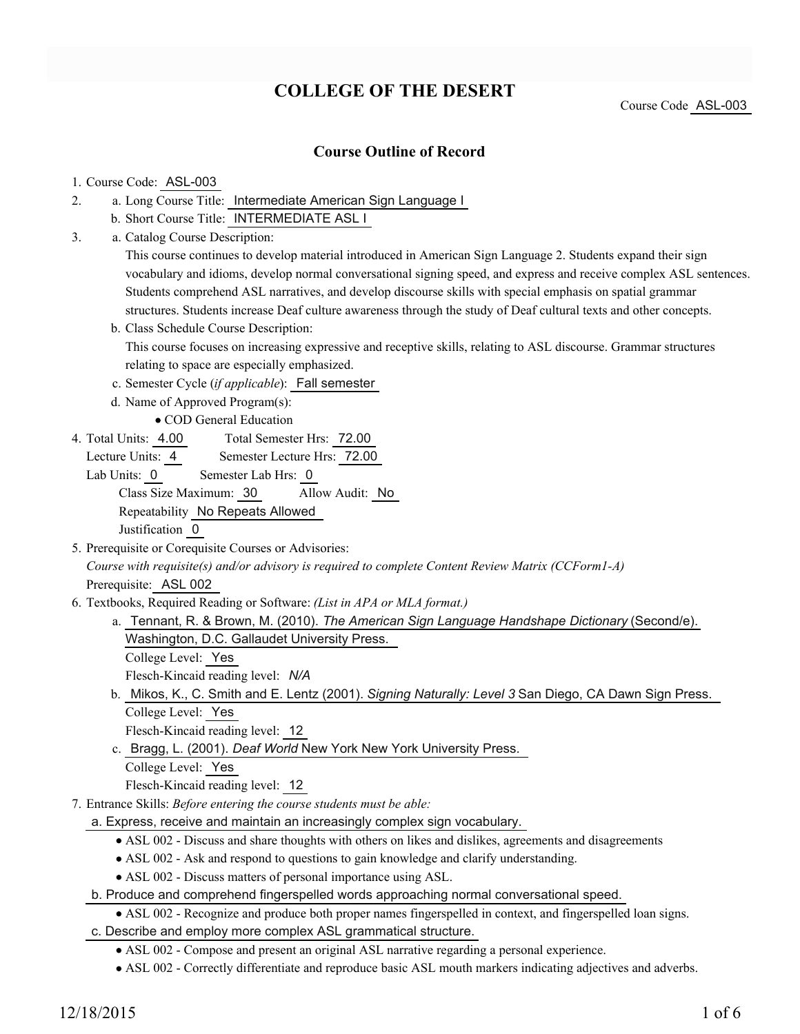## **COLLEGE OF THE DESERT**

Course Code ASL-003

### **Course Outline of Record**

#### 1. Course Code: ASL-003

- a. Long Course Title: Intermediate American Sign Language I 2.
	- b. Short Course Title: INTERMEDIATE ASL I
- Catalog Course Description: a. 3.

This course continues to develop material introduced in American Sign Language 2. Students expand their sign vocabulary and idioms, develop normal conversational signing speed, and express and receive complex ASL sentences. Students comprehend ASL narratives, and develop discourse skills with special emphasis on spatial grammar structures. Students increase Deaf culture awareness through the study of Deaf cultural texts and other concepts.

- b. Class Schedule Course Description: This course focuses on increasing expressive and receptive skills, relating to ASL discourse. Grammar structures relating to space are especially emphasized.
- c. Semester Cycle (*if applicable*): Fall semester
- d. Name of Approved Program(s):

COD General Education

Total Semester Hrs: 72.00 4. Total Units: 4.00

Lecture Units: 4 Semester Lecture Hrs: 72.00

Lab Units: 0 Semester Lab Hrs: 0 Class Size Maximum: 30 Allow Audit: No Repeatability No Repeats Allowed Justification 0

5. Prerequisite or Corequisite Courses or Advisories: *Course with requisite(s) and/or advisory is required to complete Content Review Matrix (CCForm1-A)*

Prerequisite: ASL 002

- Textbooks, Required Reading or Software: *(List in APA or MLA format.)* 6.
	- a. Tennant, R. & Brown, M. (2010). *The American Sign Language Handshape Dictionary* (Second/e).
		- Washington, D.C. Gallaudet University Press.
		- College Level: Yes

Flesch-Kincaid reading level: *N/A*

b. Mikos, K., C. Smith and E. Lentz (2001). Signing Naturally: Level 3 San Diego, CA Dawn Sign Press. College Level: Yes

Flesch-Kincaid reading level: 12

c. Bragg, L. (2001). *Deaf World* New York New York University Press.

College Level: Yes

Flesch-Kincaid reading level: 12

- Entrance Skills: *Before entering the course students must be able:* 7.
	- a. Express, receive and maintain an increasingly complex sign vocabulary.
		- ASL 002 Discuss and share thoughts with others on likes and dislikes, agreements and disagreements
		- ASL 002 Ask and respond to questions to gain knowledge and clarify understanding.
		- ASL 002 Discuss matters of personal importance using ASL.
	- b. Produce and comprehend fingerspelled words approaching normal conversational speed.
		- ASL 002 Recognize and produce both proper names fingerspelled in context, and fingerspelled loan signs.
	- c. Describe and employ more complex ASL grammatical structure.
		- ASL 002 Compose and present an original ASL narrative regarding a personal experience.
		- ASL 002 Correctly differentiate and reproduce basic ASL mouth markers indicating adjectives and adverbs.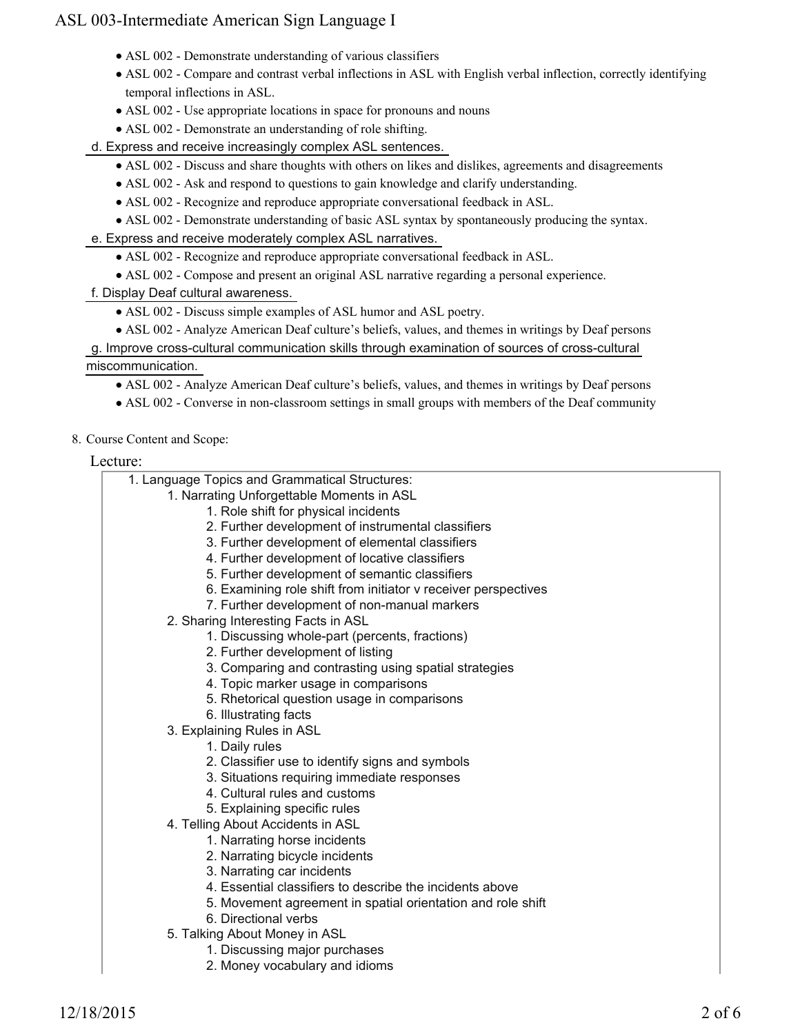- ASL 002 Demonstrate understanding of various classifiers
- ASL 002 Compare and contrast verbal inflections in ASL with English verbal inflection, correctly identifying temporal inflections in ASL.
- ASL 002 Use appropriate locations in space for pronouns and nouns
- ASL 002 Demonstrate an understanding of role shifting.

d. Express and receive increasingly complex ASL sentences.

- ASL 002 Discuss and share thoughts with others on likes and dislikes, agreements and disagreements
- ASL 002 Ask and respond to questions to gain knowledge and clarify understanding.
- ASL 002 Recognize and reproduce appropriate conversational feedback in ASL.
- ASL 002 Demonstrate understanding of basic ASL syntax by spontaneously producing the syntax.

e. Express and receive moderately complex ASL narratives.

- ASL 002 Recognize and reproduce appropriate conversational feedback in ASL.
- ASL 002 Compose and present an original ASL narrative regarding a personal experience.
- f. Display Deaf cultural awareness.
	- ASL 002 Discuss simple examples of ASL humor and ASL poetry.
	- ASL 002 Analyze American Deaf culture's beliefs, values, and themes in writings by Deaf persons

g. Improve cross-cultural communication skills through examination of sources of cross-cultural

miscommunication.

- ASL 002 Analyze American Deaf culture's beliefs, values, and themes in writings by Deaf persons
- ASL 002 Converse in non-classroom settings in small groups with members of the Deaf community

#### 8. Course Content and Scope:

#### Lecture:

| 1. Language Topics and Grammatical Structures:                 |  |
|----------------------------------------------------------------|--|
| 1. Narrating Unforgettable Moments in ASL                      |  |
| 1. Role shift for physical incidents                           |  |
| 2. Further development of instrumental classifiers             |  |
| 3. Further development of elemental classifiers                |  |
| 4. Further development of locative classifiers                 |  |
| 5. Further development of semantic classifiers                 |  |
| 6. Examining role shift from initiator v receiver perspectives |  |
| 7. Further development of non-manual markers                   |  |
| 2. Sharing Interesting Facts in ASL                            |  |
| 1. Discussing whole-part (percents, fractions)                 |  |
| 2. Further development of listing                              |  |
| 3. Comparing and contrasting using spatial strategies          |  |
| 4. Topic marker usage in comparisons                           |  |
| 5. Rhetorical question usage in comparisons                    |  |
| 6. Illustrating facts                                          |  |
| 3. Explaining Rules in ASL                                     |  |
| 1. Daily rules                                                 |  |
| 2. Classifier use to identify signs and symbols                |  |
| 3. Situations requiring immediate responses                    |  |
| 4. Cultural rules and customs                                  |  |
| 5. Explaining specific rules                                   |  |
| 4. Telling About Accidents in ASL                              |  |
| 1. Narrating horse incidents                                   |  |
| 2. Narrating bicycle incidents                                 |  |
| 3. Narrating car incidents                                     |  |
| 4. Essential classifiers to describe the incidents above       |  |
| 5. Movement agreement in spatial orientation and role shift    |  |
| 6. Directional verbs                                           |  |
| 5. Talking About Money in ASL                                  |  |
| 1. Discussing major purchases                                  |  |
| 2. Money vocabulary and idioms                                 |  |
|                                                                |  |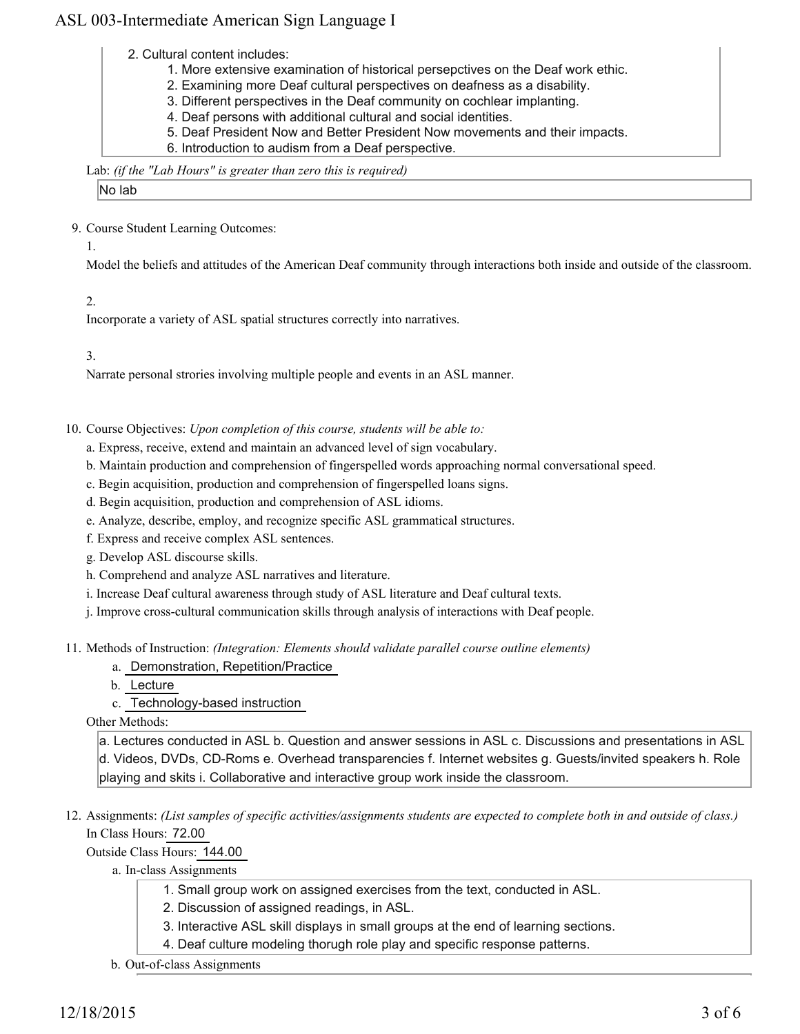2. Cultural content includes:

- 1. More extensive examination of historical persepctives on the Deaf work ethic.
- 2. Examining more Deaf cultural perspectives on deafness as a disability.
- 3. Different perspectives in the Deaf community on cochlear implanting.
- 4. Deaf persons with additional cultural and social identities.
- 5. Deaf President Now and Better President Now movements and their impacts.
- 6. Introduction to audism from a Deaf perspective.

#### Lab: *(if the "Lab Hours" is greater than zero this is required)*

No lab

9. Course Student Learning Outcomes:

1.

Model the beliefs and attitudes of the American Deaf community through interactions both inside and outside of the classroom.

2.

Incorporate a variety of ASL spatial structures correctly into narratives.

3.

Narrate personal strories involving multiple people and events in an ASL manner.

10. Course Objectives: Upon completion of this course, students will be able to:

- a. Express, receive, extend and maintain an advanced level of sign vocabulary.
- b. Maintain production and comprehension of fingerspelled words approaching normal conversational speed.
- c. Begin acquisition, production and comprehension of fingerspelled loans signs.
- d. Begin acquisition, production and comprehension of ASL idioms.
- e. Analyze, describe, employ, and recognize specific ASL grammatical structures.
- f. Express and receive complex ASL sentences.
- g. Develop ASL discourse skills.
- h. Comprehend and analyze ASL narratives and literature.
- i. Increase Deaf cultural awareness through study of ASL literature and Deaf cultural texts.
- j. Improve cross-cultural communication skills through analysis of interactions with Deaf people.

Methods of Instruction: *(Integration: Elements should validate parallel course outline elements)* 11.

- a. Demonstration, Repetition/Practice
- b. Lecture

c. Technology-based instruction

Other Methods:

a. Lectures conducted in ASL b. Question and answer sessions in ASL c. Discussions and presentations in ASL d. Videos, DVDs, CD-Roms e. Overhead transparencies f. Internet websites g. Guests/invited speakers h. Role playing and skits i. Collaborative and interactive group work inside the classroom.

12. Assignments: (List samples of specific activities/assignments students are expected to complete both in and outside of class.) In Class Hours: 72.00

Outside Class Hours: 144.00

a. In-class Assignments

- 1. Small group work on assigned exercises from the text, conducted in ASL.
- 2. Discussion of assigned readings, in ASL.
- 3. Interactive ASL skill displays in small groups at the end of learning sections.
- 4. Deaf culture modeling thorugh role play and specific response patterns.
- b. Out-of-class Assignments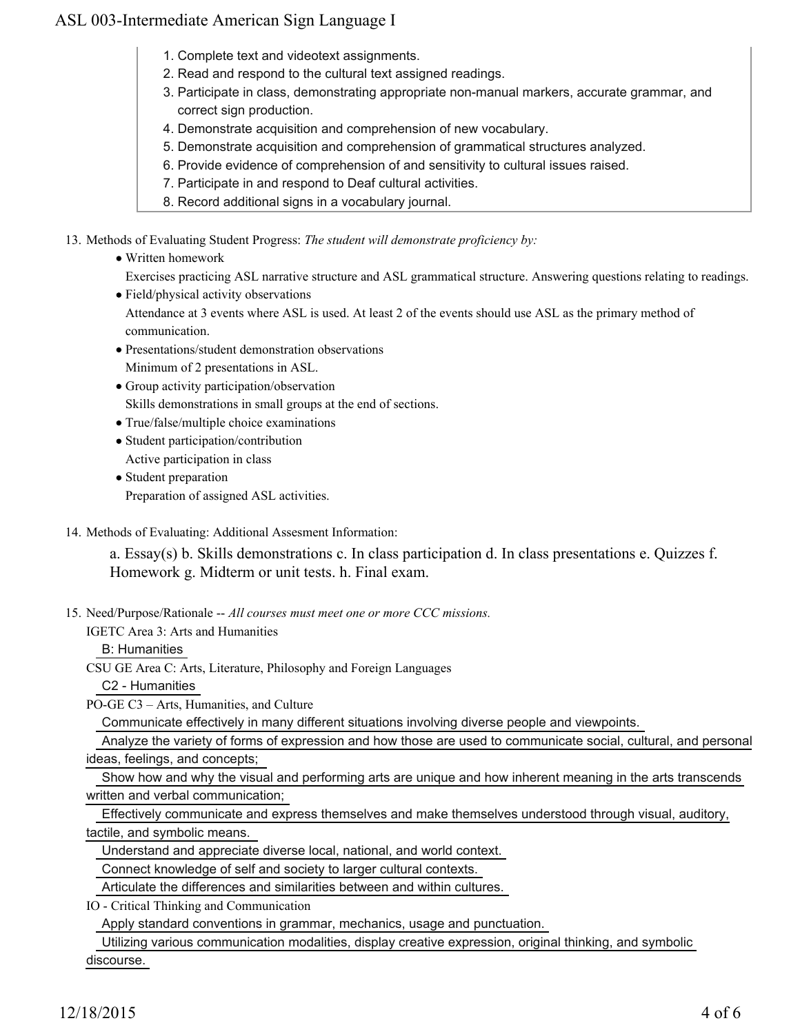- 1. Complete text and videotext assignments.
- 2. Read and respond to the cultural text assigned readings.
- 3. Participate in class, demonstrating appropriate non-manual markers, accurate grammar, and correct sign production.
- 4. Demonstrate acquisition and comprehension of new vocabulary.
- 5. Demonstrate acquisition and comprehension of grammatical structures analyzed.
- 6. Provide evidence of comprehension of and sensitivity to cultural issues raised.
- 7. Participate in and respond to Deaf cultural activities.
- 8. Record additional signs in a vocabulary journal.

13. Methods of Evaluating Student Progress: The student will demonstrate proficiency by:

- Written homework
	- Exercises practicing ASL narrative structure and ASL grammatical structure. Answering questions relating to readings.
- Field/physical activity observations
	- Attendance at 3 events where ASL is used. At least 2 of the events should use ASL as the primary method of communication.
- Presentations/student demonstration observations Minimum of 2 presentations in ASL.
- Group activity participation/observation Skills demonstrations in small groups at the end of sections.
- True/false/multiple choice examinations
- Student participation/contribution Active participation in class
- Student preparation Preparation of assigned ASL activities.
- 14. Methods of Evaluating: Additional Assesment Information:

a. Essay(s) b. Skills demonstrations c. In class participation d. In class presentations e. Quizzes f. Homework g. Midterm or unit tests. h. Final exam.

15. Need/Purpose/Rationale -- All courses must meet one or more CCC missions.

IGETC Area 3: Arts and Humanities

B: Humanities

CSU GE Area C: Arts, Literature, Philosophy and Foreign Languages

C2 - Humanities

PO-GE C3 – Arts, Humanities, and Culture

Communicate effectively in many different situations involving diverse people and viewpoints.

 Analyze the variety of forms of expression and how those are used to communicate social, cultural, and personal ideas, feelings, and concepts;

 Show how and why the visual and performing arts are unique and how inherent meaning in the arts transcends written and verbal communication;

 Effectively communicate and express themselves and make themselves understood through visual, auditory, tactile, and symbolic means.

Understand and appreciate diverse local, national, and world context.

Connect knowledge of self and society to larger cultural contexts.

Articulate the differences and similarities between and within cultures.

IO - Critical Thinking and Communication

Apply standard conventions in grammar, mechanics, usage and punctuation.

 Utilizing various communication modalities, display creative expression, original thinking, and symbolic discourse.